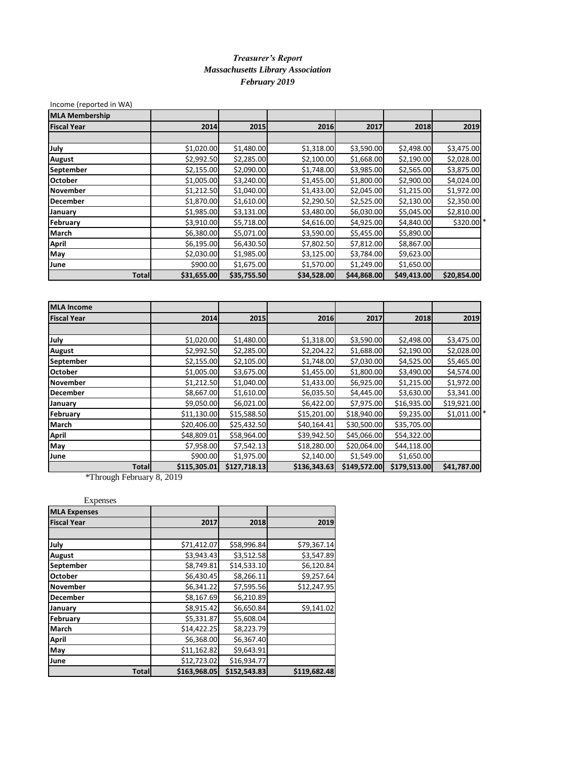## *Treasurer's Report Massachusetts Library Association February 2019*

| Income (reported in WA) |             |             |             |             |             |             |
|-------------------------|-------------|-------------|-------------|-------------|-------------|-------------|
| <b>MLA Membership</b>   |             |             |             |             |             |             |
| <b>Fiscal Year</b>      | 2014        | 2015        | 2016        | 2017        | 2018        | 2019        |
|                         |             |             |             |             |             |             |
| July                    | \$1,020.00  | \$1,480.00  | \$1,318.00  | \$3,590.00  | \$2,498.00  | \$3,475.00  |
| August                  | \$2,992.50  | \$2,285.00  | \$2,100.00  | \$1,668.00  | \$2,190.00  | \$2,028.00  |
| September               | \$2,155.00  | \$2,090.00  | \$1,748.00  | \$3,985.00  | \$2,565.00  | \$3,875.00  |
| <b>October</b>          | \$1,005.00  | \$3,240.00  | \$1,455.00  | \$1,800.00  | \$2,900.00  | \$4,024.00  |
| November                | \$1,212.50  | \$1,040.00  | \$1,433.00  | \$2,045.00  | \$1,215.00  | \$1,972.00  |
| <b>December</b>         | \$1,870.00  | \$1,610.00  | \$2,290.50  | \$2,525.00  | \$2,130.00  | \$2,350.00  |
| January                 | \$1,985.00  | \$3,131.00  | \$3,480.00  | \$6,030.00  | \$5,045.00  | \$2,810.00  |
| February                | \$3,910.00  | \$5,718.00  | \$4,616.00  | \$4,925.00  | \$4,840.00  | \$320.00 *  |
| March                   | \$6,380.00  | \$5,071.00  | \$3,590.00  | \$5,455.00  | \$5,890.00  |             |
| April                   | \$6,195.00  | \$6,430.50  | \$7,802.50  | \$7,812.00  | \$8,867.00  |             |
| May                     | \$2,030.00  | \$1,985.00  | \$3,125.00  | \$3,784.00  | \$9,623.00  |             |
| June                    | \$900.00    | \$1,675.00  | \$1,570.00  | \$1,249.00  | \$1,650.00  |             |
| <b>Total</b>            | \$31,655.00 | \$35,755.50 | \$34,528.00 | \$44,868.00 | \$49,413.00 | \$20,854.00 |
|                         |             |             |             |             |             |             |
|                         |             |             |             |             |             |             |
| <b>MLA Income</b>       |             |             |             |             |             |             |
| <b>Fiscal Year</b>      | 2014        | 2015        | 2016        | 2017        | 2018        | 2019        |
|                         |             |             |             |             |             |             |

| <b>Fiscal Year</b> | 2014         | 2015         | 2016         | 2017         | 2018         | 2019                     |
|--------------------|--------------|--------------|--------------|--------------|--------------|--------------------------|
|                    |              |              |              |              |              |                          |
| July               | \$1,020.00   | \$1,480.00   | \$1,318.00   | \$3,590.00   | \$2,498.00   | \$3,475.00               |
| <b>August</b>      | \$2,992.50   | \$2,285.00   | \$2,204.22   | \$1,688.00   | \$2,190.00   | \$2,028.00               |
| <b>September</b>   | \$2,155.00   | \$2,105.00   | \$1,748.00   | \$7,030.00   | \$4,525.00   | \$5,465.00               |
| <b>October</b>     | \$1,005.00   | \$3,675.00   | \$1,455.00   | \$1,800.00   | \$3,490.00   | \$4,574.00               |
| November           | \$1,212.50   | \$1,040.00   | \$1,433.00   | \$6,925.00   | \$1,215.00   | \$1,972.00               |
| <b>December</b>    | \$8,667.00   | \$1,610.00   | \$6,035.50   | \$4,445.00   | \$3,630.00   | \$3,341.00               |
| January            | \$9,050.00   | \$6,021.00   | \$6,422.00   | \$7,975.00   | \$16,935.00  | \$19,921.00              |
| February           | \$11,130.00  | \$15,588.50  | \$15,201.00  | \$18,940.00  | \$9,235.00   | $$1,011.00$ <sup>*</sup> |
| <b>March</b>       | \$20,406.00  | \$25,432.50  | \$40,164.41  | \$30,500.00  | \$35,705.00  |                          |
| April              | \$48,809.01  | \$58,964.00  | \$39,942.50  | \$45,066.00  | \$54,322.00  |                          |
| May                | \$7,958.00   | \$7,542.13   | \$18,280.00  | \$20,064.00  | \$44,118.00  |                          |
| June               | \$900.00     | \$1,975.00   | \$2,140.00   | \$1,549.00   | \$1,650.00   |                          |
| <b>Total</b>       | \$115,305.01 | \$127,718.13 | \$136,343.63 | \$149,572.00 | \$179,513.00 | \$41,787.00              |

\*Through February 8, 2019

| <b>MLA Expenses</b> |              |              |              |
|---------------------|--------------|--------------|--------------|
| <b>Fiscal Year</b>  | 2017         | 2018         | 2019         |
|                     |              |              |              |
| July                | \$71,412.07  | \$58,996.84  | \$79,367.14  |
| <b>August</b>       | \$3,943.43   | \$3,512.58   | \$3,547.89   |
| September           | \$8,749.81   | \$14,533.10  | \$6,120.84   |
| October             | \$6,430.45   | \$8,266.11   | \$9,257.64   |
| <b>November</b>     | \$6,341.22   | \$7,595.56   | \$12,247.95  |
| December            | \$8,167.69   | \$6,210.89   |              |
| January             | \$8,915.42   | \$6,650.84   | \$9,141.02   |
| February            | \$5,331.87   | \$5,608.04   |              |
| March               | \$14,422.25  | \$8,223.79   |              |
| <b>April</b>        | \$6,368.00   | \$6,367.40   |              |
| May                 | \$11,162.82  | \$9,643.91   |              |
| June                | \$12,723.02  | \$16,934.77  |              |
| <b>Total</b>        | \$163,968.05 | \$152,543.83 | \$119,682.48 |